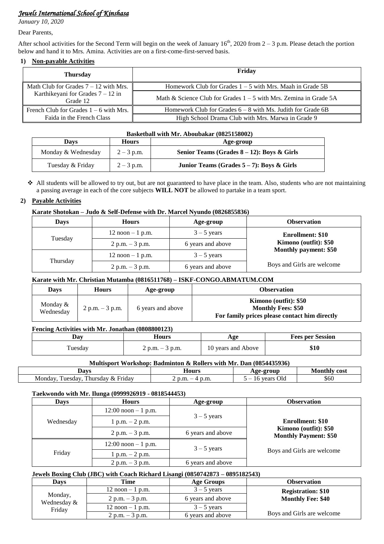## *Jewels International School of Kinshasa*

*January 10, 2020*

#### Dear Parents,

After school activities for the Second Term will begin on the week of January  $16<sup>th</sup>$ , 2020 from  $2-3$  p.m. Please detach the portion below and hand it to Mrs. Amina. Activities are on a first-come-first-served basis.

### **1) Non-payable Activities**

| <b>Thursday</b>                                 | Friday                                                              |
|-------------------------------------------------|---------------------------------------------------------------------|
| Math Club for Grades $7 - 12$ with Mrs.         | Homework Club for Grades $1 - 5$ with Mrs. Maah in Grade 5B         |
| Karthikeyani for Grades $7 - 12$ in<br>Grade 12 | Math & Science Club for Grades $1 - 5$ with Mrs. Zemina in Grade 5A |
| French Club for Grades $1 - 6$ with Mrs.        | Homework Club for Grades $6 - 8$ with Ms. Judith for Grade 6B       |
| Faida in the French Class                       | High School Drama Club with Mrs. Marwa in Grade 9                   |

#### **Basketball with Mr. Aboubakar (0825158002)**

| Davs               | <b>Hours</b> | Age-group                                            |  |
|--------------------|--------------|------------------------------------------------------|--|
| Monday & Wednesday | $2 - 3$ p.m. | Senior Teams (Grades $8-12$ ): Boys & Girls          |  |
| Tuesday & Friday   | $2 - 3$ p.m. | <b>Junior Teams (Grades 5 – 7): Boys &amp; Girls</b> |  |

 All students will be allowed to try out, but are not guaranteed to have place in the team. Also, students who are not maintaining a passing average in each of the core subjects **WILL NOT** be allowed to partake in a team sport.

### **2) Payable Activities**

### **Karate Shotokan – Judo & Self-Defense with Dr. Marcel Nyundo (0826855836)**

| <b>Days</b> | <b>Hours</b>        | Age-group         | <b>Observation</b>         |
|-------------|---------------------|-------------------|----------------------------|
| Tuesday     | $12$ noon $-1$ p.m. | $3 - 5$ years     | <b>Enrollment: \$10</b>    |
|             | $2 p.m. - 3 p.m.$   | 6 years and above | Kimono (outfit): \$50      |
| Thursday    | $12$ noon $-1$ p.m. | $3 - 5$ years     | Monthly payment: \$50      |
|             | $2 p.m. - 3 p.m.$   | 6 years and above | Boys and Girls are welcome |

### **Karate with Mr. Christian Mutamba (0816511768) – ISKF-CONGO.ABMATUM.COM**

| <b>Days</b>             | <b>Hours</b>      | Age-group         | <b>Observation</b>                                                                                  |
|-------------------------|-------------------|-------------------|-----------------------------------------------------------------------------------------------------|
| Monday $&$<br>Wednesday | $2 p.m. - 3 p.m.$ | 6 years and above | Kimono (outfit): \$50<br><b>Monthly Fees: \$50</b><br>For family prices please contact him directly |

### **Fencing Activities with Mr. Jonathan (0808800123)**

| Dav     | Hours<br>Age             |                    | <b>Fees per Session</b> |
|---------|--------------------------|--------------------|-------------------------|
| Tuesday | $\angle$ p.m. $-$ 3 p.m. | 10 years and Above | \$10                    |

## **Multisport Workshop: Badminton & Rollers with Mr. Dan (0854435936)**

| <b>MOVIC</b>                                                | $-$                     | $-$ or $\alpha$ li $r$ | ≠ cost |
|-------------------------------------------------------------|-------------------------|------------------------|--------|
| wavs                                                        | Hours                   | ۱σρ                    |        |
| Friday<br>Monday<br><b>TIESCLAV</b><br><b>hursday</b><br>X) | n m<br>$\sim$<br>,,,,,, | Ok<br>vears            | \$60   |

### **Taekwondo with Mr. Ilunga (0999926919 - 0818544453)**

| <b>Days</b> | <b>Hours</b>           | Age-group         | <b>Observation</b>                                    |
|-------------|------------------------|-------------------|-------------------------------------------------------|
|             | $12:00$ noon $-1$ p.m. |                   |                                                       |
| Wednesday   | $1 p.m. - 2 p.m.$      | $3 - 5$ years     | <b>Enrollment: \$10</b>                               |
|             | $2 p.m. - 3 p.m.$      | 6 years and above | Kimono (outfit): \$50<br><b>Monthly Payment: \$50</b> |
|             | $12:00$ noon $-1$ p.m. | $3 - 5$ years     |                                                       |
| Friday      | $1 p.m. - 2 p.m.$      |                   | Boys and Girls are welcome                            |
|             | $2 p.m. - 3 p.m.$      | 6 years and above |                                                       |

### **Jewels Boxing Club (JBC) with Coach Richard Lisangi (0850742873 – 0895182543)**

| Davs                   | Time                | Age Groups        | <b>Observation</b>         |
|------------------------|---------------------|-------------------|----------------------------|
|                        | $12$ noon $-1$ p.m. | $3 - 5$ years     | <b>Registration: \$10</b>  |
| Monday,<br>Wednesday & | $2 p.m. - 3 p.m.$   | 6 years and above | <b>Monthly Fee: \$40</b>   |
| Friday                 | $12$ noon $-1$ p.m. | $3 - 5$ years     |                            |
|                        | $2 p.m. - 3 p.m.$   | 6 years and above | Boys and Girls are welcome |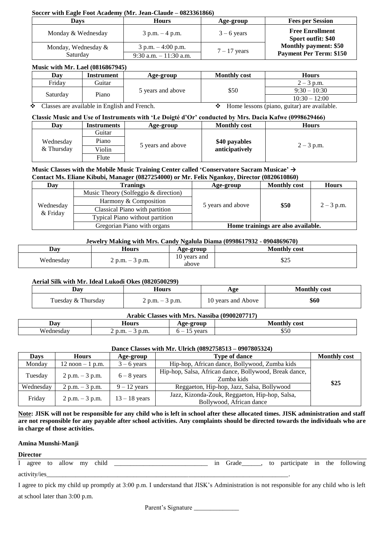#### **Soccer with Eagle Foot Academy (Mr. Jean-Claude – 0823361866)**

| Davs                | <b>Hours</b>              | Age-group                      | <b>Fees per Session</b>                      |
|---------------------|---------------------------|--------------------------------|----------------------------------------------|
| Monday & Wednesday  | $3$ p.m. $-4$ p.m.        | $3 - 6$ years                  | <b>Free Enrollment</b><br>Sport outfit: \$40 |
| Monday, Wednesday & | $3$ p.m. $-4:00$ p.m.     | $7 - 17$ years                 | <b>Monthly payment: \$50</b>                 |
| Saturday            | $9:30$ a.m. $-11:30$ a.m. | <b>Payment Per Term: \$150</b> |                                              |

### **Music with Mr. Lael (0816867945)**

| Dav      | Instrument | Age-group         | <b>Monthly cost</b> | Hours            |
|----------|------------|-------------------|---------------------|------------------|
| Fridav   | Guitar     |                   |                     | $2-$<br>$3$ p.m. |
| Saturdav | Piano      | 5 vears and above | \$50                | $9:30 - 10:30$   |
|          |            |                   |                     | $10:30 - 12:00$  |

 $\bullet$  Classes are available in English and French.  $\bullet$  Home lessons (piano, guitar) are available.

### **Classic Music and Use of Instruments with 'Le Doigté d'Or' conducted by Mrs. Dacia Kafwe (0998629466)**

| Dav        | Instruments | Age-group         | <b>Monthly cost</b> | Hours        |
|------------|-------------|-------------------|---------------------|--------------|
|            | Guitar      |                   |                     |              |
| Wednesday  | Piano       |                   | \$40 payables       |              |
| & Thursday | Violin      | 5 years and above | anticipatively      | $2 - 3$ p.m. |
|            | Flute       |                   |                     |              |

#### **Music Classes with the Mobile Music Training Center called 'Conservatore Sacram Musicae' → Monogor** (0827254000) or M

| Contact Ms. Etiane Kidudi, Manager (0827254000) or Mr. Felix Ngankoy, Difector (0820010800) |                                      |                   |                                    |              |  |
|---------------------------------------------------------------------------------------------|--------------------------------------|-------------------|------------------------------------|--------------|--|
| Day                                                                                         | Tranings                             | Age-group         | <b>Monthly cost</b>                | <b>Hours</b> |  |
|                                                                                             | Music Theory (Solfeggio & direction) | 5 years and above |                                    | $2 - 3$ p.m. |  |
| Wednesday<br>& Friday                                                                       | Harmony & Composition                |                   | \$50                               |              |  |
|                                                                                             | Classical Piano with partition       |                   |                                    |              |  |
|                                                                                             | Typical Piano without partition      |                   |                                    |              |  |
|                                                                                             | Gregorian Piano with organs          |                   | Home trainings are also available. |              |  |

#### **Jewelry Making with Mrs. Candy Ngalula Diama (0998617932 - 0904869670)**

| Dav       | Hours        | <b>\ge-group</b>      | <b>Monthly cost</b> |
|-----------|--------------|-----------------------|---------------------|
| Wednesday | p.m.<br>p.m. | 10 years and<br>above | ሰሳ ነ<br>ر∠ب         |

### **Aerial Silk with Mr. Ideal Lukodi Okes (0820500299)**

| Dav                | Hours                    | Age                | <b>Monthly cost</b> |
|--------------------|--------------------------|--------------------|---------------------|
| Tuesday & Thursday | $\angle$ p.m. $-$ 3 p.m. | 10 years and Above | \$60                |

| Arabic Classes with Mrs. Nassiba (0900207717) |                   |              |                     |  |  |  |
|-----------------------------------------------|-------------------|--------------|---------------------|--|--|--|
| Dav                                           | Hours             | Age-group    | <b>Monthly cost</b> |  |  |  |
| Wednesdav                                     | $p.m. -3$<br>p.m. | vears<br>h — | \$50                |  |  |  |

#### **Dance Classes with Mr. Ulrich (0892758513 – 0907805324)**

| Days      | <b>Hours</b>                        | Age-group       | <b>Type of dance</b>                                   | <b>Monthly cost</b> |
|-----------|-------------------------------------|-----------------|--------------------------------------------------------|---------------------|
| Monday    | $12 \text{ noon} - 1 \text{ p.m.}$  | $3 - 6$ years   | Hip-hop, African dance, Bollywood, Zumba kids          |                     |
| Tuesday   |                                     |                 | Hip-hop, Salsa, African dance, Bollywood, Break dance, |                     |
|           | $2 p.m. - 3 p.m.$                   | $6 - 8$ years   | Zumba kids                                             | \$25                |
| Wednesday | $2 p.m. - 3 p.m.$<br>$9 - 12$ years |                 | Reggaeton, Hip-hop, Jazz, Salsa, Bollywood             |                     |
| Friday    | $2 p.m. - 3 p.m.$                   | $13 - 18$ years | Jazz, Kizonda-Zouk, Reggaeton, Hip-hop, Salsa,         |                     |
|           |                                     |                 | Bollywood, African dance                               |                     |

**Note: JISK will not be responsible for any child who is left in school after these allocated times. JISK administration and staff are not responsible for any payable after school activities. Any complaints should be directed towards the individuals who are in charge of those activities.** 

#### **Amina Munshi-Manji**

#### **Director**

| л. | agree        | to | allow | my | .<br>child<br>$\sim$ $\sim$ | 1ľ | to | participate | 1n | the<br>$\sim$ | following |
|----|--------------|----|-------|----|-----------------------------|----|----|-------------|----|---------------|-----------|
|    | activity/ies |    |       |    |                             |    |    |             |    |               |           |

I agree to pick my child up promptly at 3:00 p.m. I understand that JISK's Administration is not responsible for any child who is left

at school later than 3:00 p.m.

Parent's Signature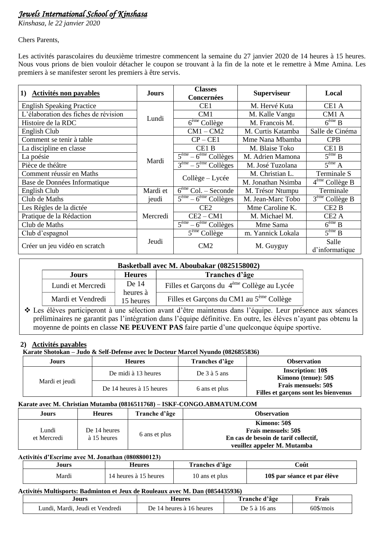# *Jewels International School of Kinshasa*

*Kinshasa, le 22 janvier 2020*

Chers Parents,

Les activités parascolaires du deuxième trimestre commencent la semaine du 27 janvier 2020 de 14 heures à 15 heures. Nous vous prions de bien vouloir détacher le coupon se trouvant à la fin de la note et le remettre à Mme Amina. Les premiers à se manifester seront les premiers à être servis.

| Activités non payables<br>1)         | <b>Jours</b> | <b>Classes</b><br>Concernées               | <b>Superviseur</b> | Local                                 |
|--------------------------------------|--------------|--------------------------------------------|--------------------|---------------------------------------|
| <b>English Speaking Practice</b>     |              | CE <sub>1</sub>                            | M. Hervé Kuta      | CE1 A                                 |
| L'élaboration des fiches de révision | Lundi        | CM1                                        | M. Kalle Vangu     | CM1 A                                 |
| Histoire de la RDC                   |              | $\overline{6}^{\text{ème}}$ Collège        | M. Francois M.     | $\overline{6}^{\text{eme}}$ B         |
| English Club                         |              | $CM1 - CM2$                                | M. Curtis Katamba  | Salle de Cinéma                       |
| Comment se tenir à table             |              | $CP - CE1$                                 | Mme Nana Mbamba    | <b>CPB</b>                            |
| La discipline en classe              |              | CE <sub>1</sub> B                          | M. Blaise Toko     | CE1 <sub>B</sub>                      |
| La poésie                            | Mardi        | $5^{\text{eme}} - 6^{\text{eme}}$ Collèges | M. Adrien Mamona   | $5^{\text{eme}}$ B                    |
| Pièce de théâtre                     |              | $3eme - 5eme$ Collèges                     | M. José Tuzolana   | $5^{\text{eme}}$ A                    |
| Comment réussir en Maths             |              |                                            | M. Christian L.    | Terminale S                           |
| Base de Données Informatique         |              | Collège – Lycée                            | M. Jonathan Nsimba | $4eme$ Collège B                      |
| English Club                         | Mardi et     | $6eme$ Col. – Seconde                      | M. Trésor Ntumpu   | Terminale                             |
| Club de Maths                        | jeudi        | $\overline{5^{em}}$ – $6^{em}$ Collèges    | M. Jean-Marc Tobo  | $\overline{3}^{\text{eme}}$ Collège B |
| Les Règles de la dictée              |              | CE2                                        | Mme Caroline K.    | CE <sub>2</sub> B                     |
| Pratique de la Rédaction             | Mercredi     | $CE2 - CM1$                                | M. Michael M.      | CE <sub>2</sub> A                     |
| Club de Maths                        |              | $\overline{5^{eme}}$ – $6^{eme}$ Collèges  | Mme Sama           | $6^{\text{eme}}$ B                    |
| Club d'espagnol                      |              | $5eme$ Collège                             | m. Yannick Lokala  | $5^{\text{eme}}$ B                    |
| Créer un jeu vidéo en scratch        | Jeudi        | CM2                                        | M. Guyguy          | Salle<br>d'informatique               |

| Basketball avec M. Aboubakar (0825158002) |                       |                                                        |  |  |  |
|-------------------------------------------|-----------------------|--------------------------------------------------------|--|--|--|
| Tranches d'âge<br><b>Heures</b><br>Jours  |                       |                                                        |  |  |  |
| Lundi et Mercredi                         | De 14                 | Filles et Garçons du 4 <sup>ème</sup> Collège au Lycée |  |  |  |
| Mardi et Vendredi                         | heures à<br>15 heures | Filles et Garçons du CM1 au 5 <sup>ème</sup> Collège   |  |  |  |

 Les élèves participeront à une sélection avant d'être maintenus dans l'équipe. Leur présence aux séances préliminaires ne garantit pas l'intégration dans l'équipe définitive. En outre, les élèves n'ayant pas obtenu la moyenne de points en classe **NE PEUVENT PAS** faire partie d'une quelconque équipe sportive.

## **2) Activités payables**

**Karate Shotokan – Judo & Self-Defense avec le Docteur Marcel Nyundo (0826855836)**

| Jours          | <b>Heures</b>            | Tranches d'âge   | <b>Observation</b>                                                  |
|----------------|--------------------------|------------------|---------------------------------------------------------------------|
|                | De midi à 13 heures      | De $3$ à $5$ ans | <b>Inscription: 10\$</b><br>Kimono (tenue): 50\$                    |
| Mardi et jeudi | De 14 heures à 15 heures | 6 ans et plus    | <b>Frais mensuels: 50\$</b><br>Filles et garçons sont les bienvenus |

### **Karate avec M. Christian Mutamba (0816511768) – ISKF-CONGO.ABMATUM.COM**

| Jours                | <b>Heures</b>               | Tranche d'âge | <b>Observation</b>                                                                                                 |
|----------------------|-----------------------------|---------------|--------------------------------------------------------------------------------------------------------------------|
| Lundi<br>et Mercredi | De 14 heures<br>à 15 heures | 6 ans et plus | Kimono: 50\$<br><b>Frais mensuels: 50\$</b><br>En cas de besoin de tarif collectif,<br>veuillez appeler M. Mutamba |

### **Activités d'Escrime avec M. Jonathan (0808800123)**

| Jours | <b>leures</b>         | <b>Tranches d'âge</b> | Coût                         |
|-------|-----------------------|-----------------------|------------------------------|
| Mardi | 14 heures à 15 heures | 10 ans et plus        | 10\$ par séance et par élève |

#### **Activités Multisports: Badminton et Jeux de Rouleaux avec M. Dan (0854435936)**

| Jours                                | Heures                        | Γ <b>ranche d'âge</b> | Frais       |
|--------------------------------------|-------------------------------|-----------------------|-------------|
| . Mardi. Jeudi et Vendredi<br>Lundi. | : 14 heures à 16 heures<br>Ιe | 16 ans<br>. Je<br>э а | $60\$ /mois |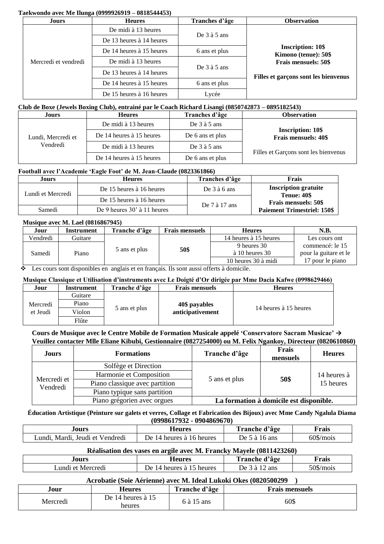#### **Taekwondo avec Me Ilunga (0999926919 – 0818544453)**

| Jours                | <b>Heures</b>            | Tranches d'âge   | <b>Observation</b>                               |  |
|----------------------|--------------------------|------------------|--------------------------------------------------|--|
|                      | De midi à 13 heures      |                  |                                                  |  |
| Mercredi et vendredi | De 13 heures à 14 heures | De $3$ à $5$ ans |                                                  |  |
|                      | De 14 heures à 15 heures | 6 ans et plus    | <b>Inscription: 10\$</b><br>Kimono (tenue): 50\$ |  |
|                      | De midi à 13 heures      |                  | <b>Frais mensuels: 50\$</b>                      |  |
|                      | De 13 heures à 14 heures | De $3$ à $5$ ans | Filles et garçons sont les bienvenus             |  |
|                      | De 14 heures à 15 heures | 6 ans et plus    |                                                  |  |
|                      | De 15 heures à 16 heures | Lycée            |                                                  |  |

### **Club de Boxe (Jewels Boxing Club), entrainé par le Coach Richard Lisangi (0850742873 – 0895182543)**

| Jours                          | <b>Heures</b>            | Tranches d'âge   | <b>Observation</b>                                      |
|--------------------------------|--------------------------|------------------|---------------------------------------------------------|
| Lundi, Mercredi et<br>Vendredi | De midi à 13 heures      | De $3$ à $5$ ans |                                                         |
|                                | De 14 heures à 15 heures | De 6 ans et plus | <b>Inscription: 10\$</b><br><b>Frais mensuels: 40\$</b> |
|                                | De midi à 13 heures      | De $3$ à $5$ ans | Filles et Garçons sont les bienvenus                    |
|                                | De 14 heures à 15 heures | De 6 ans et plus |                                                         |

### **Football avec l'Academie 'Eagle Foot' de M. Jean-Claude (0823361866)**

| Jours             | <b>Heures</b>                 | Tranches d'âge    | <b>Frais</b>                                      |  |  |  |
|-------------------|-------------------------------|-------------------|---------------------------------------------------|--|--|--|
| Lundi et Mercredi | De 15 heures à 16 heures      | De $3$ à $6$ ans  | <b>Inscription gratuite</b><br><b>Tenue: 40\$</b> |  |  |  |
|                   | De 15 heures à 16 heures      | De $7$ à $17$ ans | <b>Frais mensuels: 50\$</b>                       |  |  |  |
| Samedi            | De 9 heures $30'$ à 11 heures |                   | <b>Paiement Trimestriel: 150\$</b>                |  |  |  |

### **Musique avec M. Lael (0816867945)**

| Jour     | Instrument | Tranche d'âge | <b>Frais mensuels</b> | <b>Heures</b>          | N.B.                  |
|----------|------------|---------------|-----------------------|------------------------|-----------------------|
| Vendredi | Guitare    |               |                       | 14 heures à 15 heures  | Les cours ont         |
|          |            |               | 50\$                  | 9 heures 30            | commencé: le 15       |
| Samedi   | Piano      | 5 ans et plus |                       | $\lambda$ 10 heures 30 | pour la guitare et le |
|          |            |               |                       | 10 heures 30 à midi    | pour le piano         |

Les cours sont disponibles en anglais et en français. Ils sont aussi offerts à domicile.

### **Musique Classique et Utilisation d'instruments avec Le Doigté d'Or dirigée par Mme Dacia Kafwe (0998629466)**

| Jour     | Instrument | Tranche d'âge | <b>Frais mensuels</b> | <b>Heures</b>         |
|----------|------------|---------------|-----------------------|-----------------------|
|          | Guitare    |               |                       |                       |
| Mercredi | Piano      |               | 40\$ payables         |                       |
| et Jeudi | Violon     | 5 ans et plus | anticipativement      | 14 heures à 15 heures |
|          | Flûte      |               |                       |                       |

**Cours de Musique avec le Centre Mobile de Formation Musicale appelé 'Conservatore Sacram Musicae' → Veuillez contacter Mlle Eliane Kibubi, Gestionnaire (0827254000) ou M. Felix Ngankoy, Directeur (0820610860)**

| Jours                   | <b>Formations</b>              | Tranche d'âge | Frais<br>mensuels                       | <b>Heures</b>            |
|-------------------------|--------------------------------|---------------|-----------------------------------------|--------------------------|
| Mercredi et<br>Vendredi | Solfège et Direction           |               | 50\$                                    | 14 heures à<br>15 heures |
|                         | Harmonie et Composition        |               |                                         |                          |
|                         | Piano classique avec partition | 5 ans et plus |                                         |                          |
|                         | Piano typique sans partition   |               |                                         |                          |
|                         | Piano grégorien avec orgues    |               | La formation à domicile est disponible. |                          |

**Éducation Artistique (Peinture sur galets et verres, Collage et Fabrication des Bijoux) avec Mme Candy Ngalula Diama**

| .Iours                                | <b>Heures</b>                | Tranche d'âge        | †rais       |
|---------------------------------------|------------------------------|----------------------|-------------|
| Jeudi et Vendredi<br>Mardı.<br>∟undı. | 14 heures à 16 heures<br>De. | De 5<br>16 ans<br>a, | $60\$/mois$ |

#### **Réalisation des vases en argile avec M. Francky Mayele (0811423260)**

| Jours             | Heures                         | 19 A<br>l'ranche d'àge | $\blacksquare$<br>Frais |
|-------------------|--------------------------------|------------------------|-------------------------|
| Lundi et Mercredi | heures<br>heures à<br>)e<br>14 | ans<br>De<br>я         | $50\$ /mois             |

### **Acrobatie (Soie Aérienne) avec M. Ideal Lukoki Okes (0820500299 )**

| Jour                 | Heures                          | Tranche d'âge | <b>Frais mensuels</b> |
|----------------------|---------------------------------|---------------|-----------------------|
| Mercred <sub>1</sub> | De.<br>14 heures à 15<br>heures | ) ans         | 60\$                  |